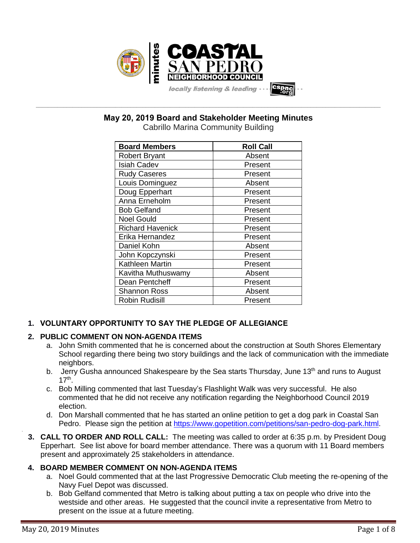

**May 20, 2019 Board and Stakeholder Meeting Minutes**

**\_\_\_\_\_\_\_\_\_\_\_\_\_\_\_\_\_\_\_\_\_\_\_\_\_\_\_\_\_\_\_\_\_\_\_\_\_\_\_\_\_\_\_\_\_\_\_\_\_\_\_\_\_\_\_\_\_\_\_\_\_\_\_\_\_\_\_\_\_\_\_\_\_\_\_\_\_\_\_\_\_\_\_\_\_\_\_\_\_\_\_\_\_\_\_\_\_\_\_\_\_\_\_\_\_\_\_\_\_\_\_\_\_**

Cabrillo Marina Community Building

| <b>Board Members</b>    | <b>Roll Call</b> |
|-------------------------|------------------|
| <b>Robert Bryant</b>    | Absent           |
| <b>Isiah Cadev</b>      | Present          |
| <b>Rudy Caseres</b>     | Present          |
| Louis Dominguez         | Absent           |
| Doug Epperhart          | Present          |
| Anna Erneholm           | Present          |
| <b>Bob Gelfand</b>      | Present          |
| <b>Noel Gould</b>       | Present          |
| <b>Richard Havenick</b> | Present          |
| Erika Hernandez         | Present          |
| Daniel Kohn             | Absent           |
| John Kopczynski         | Present          |
| Kathleen Martin         | Present          |
| Kavitha Muthuswamy      | Absent           |
| Dean Pentcheff          | Present          |
| <b>Shannon Ross</b>     | Absent           |
| <b>Robin Rudisill</b>   | Present          |

# **1. VOLUNTARY OPPORTUNITY TO SAY THE PLEDGE OF ALLEGIANCE**

# **2. PUBLIC COMMENT ON NON-AGENDA ITEMS**

- a. John Smith commented that he is concerned about the construction at South Shores Elementary School regarding there being two story buildings and the lack of communication with the immediate neighbors.
- b. Jerry Gusha announced Shakespeare by the Sea starts Thursday, June 13<sup>th</sup> and runs to August  $17<sup>th</sup>$ .
- c. Bob Milling commented that last Tuesday's Flashlight Walk was very successful. He also commented that he did not receive any notification regarding the Neighborhood Council 2019 election.
- d. Don Marshall commented that he has started an online petition to get a dog park in Coastal San Pedro. Please sign the petition at [https://www.gopetition.com/petitions/san-pedro-dog-park.html.](https://www.gopetition.com/petitions/san-pedro-dog-park.html)
- **3. CALL TO ORDER AND ROLL CALL:** The meeting was called to order at 6:35 p.m. by President Doug Epperhart. See list above for board member attendance. There was a quorum with 11 Board members present and approximately 25 stakeholders in attendance.

# **4. BOARD MEMBER COMMENT ON NON-AGENDA ITEMS**

- a. Noel Gould commented that at the last Progressive Democratic Club meeting the re-opening of the Navy Fuel Depot was discussed.
- b. Bob Gelfand commented that Metro is talking about putting a tax on people who drive into the westside and other areas. He suggested that the council invite a representative from Metro to present on the issue at a future meeting.

.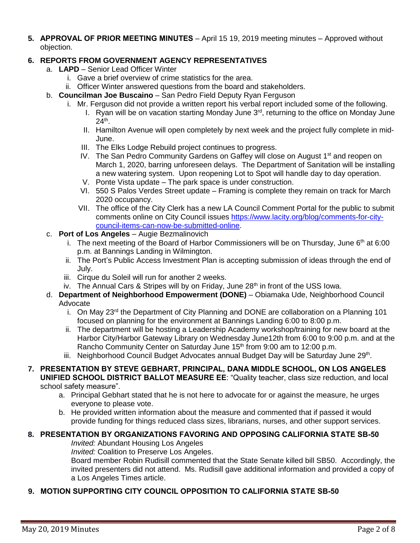**5. APPROVAL OF PRIOR MEETING MINUTES** – April 15 19, 2019 meeting minutes – Approved without objection.

## **6. REPORTS FROM GOVERNMENT AGENCY REPRESENTATIVES**

- a. **LAPD**  Senior Lead Officer Winter
	- i. Gave a brief overview of crime statistics for the area.
	- ii. Officer Winter answered questions from the board and stakeholders.
- b. **Councilman Joe Buscaino** San Pedro Field Deputy Ryan Ferguson
	- i. Mr. Ferguson did not provide a written report his verbal report included some of the following.
		- I. Ryan will be on vacation starting Monday June  $3<sup>rd</sup>$ , returning to the office on Monday June  $24<sup>th</sup>$ .
		- II. Hamilton Avenue will open completely by next week and the project fully complete in mid-June.
		- III. The Elks Lodge Rebuild project continues to progress.
		- IV. The San Pedro Community Gardens on Gaffey will close on August 1<sup>st</sup> and reopen on March 1, 2020, barring unforeseen delays. The Department of Sanitation will be installing a new watering system. Upon reopening Lot to Spot will handle day to day operation.
		- V. Ponte Vista update The park space is under construction.
		- VI. 550 S Palos Verdes Street update Framing is complete they remain on track for March 2020 occupancy.
		- VII. The office of the City Clerk has a new LA Council Comment Portal for the public to submit comments online on City Council issues [https://www.lacity.org/blog/comments-for-city](https://www.lacity.org/blog/comments-for-city-council-items-can-now-be-submitted-online)[council-items-can-now-be-submitted-online.](https://www.lacity.org/blog/comments-for-city-council-items-can-now-be-submitted-online)
- c. **Port of Los Angeles** Augie Bezmalinovich
	- i. The next meeting of the Board of Harbor Commissioners will be on Thursday, June  $6<sup>th</sup>$  at 6:00 p.m. at Bannings Landing in Wilmington.
	- ii. The Port's Public Access Investment Plan is accepting submission of ideas through the end of July.
	- iii. Cirque du Soleil will run for another 2 weeks.
	- iv. The Annual Cars & Stripes will by on Friday, June 28<sup>th</sup> in front of the USS Iowa.
- d. **Department of Neighborhood Empowerment (DONE)** Obiamaka Ude, Neighborhood Council Advocate
	- i. On May 23<sup>rd</sup> the Department of City Planning and DONE are collaboration on a Planning 101 focused on planning for the environment at Bannings Landing 6:00 to 8:00 p.m.
	- ii. The department will be hosting a Leadership Academy workshop/training for new board at the Harbor City/Harbor Gateway Library on Wednesday June12th from 6:00 to 9:00 p.m. and at the Rancho Community Center on Saturday June 15<sup>th</sup> from 9:00 am to 12:00 p.m.
	- iii. Neighborhood Council Budget Advocates annual Budget Day will be Saturday June 29<sup>th</sup>.
- **7. PRESENTATION BY STEVE GEBHART, PRINCIPAL, DANA MIDDLE SCHOOL, ON LOS ANGELES UNIFIED SCHOOL DISTRICT BALLOT MEASURE EE**: "Quality teacher, class size reduction, and local

school safety measure".

- a. Principal Gebhart stated that he is not here to advocate for or against the measure, he urges everyone to please vote.
- b. He provided written information about the measure and commented that if passed it would provide funding for things reduced class sizes, librarians, nurses, and other support services.

### **8. PRESENTATION BY ORGANIZATIONS FAVORING AND OPPOSING CALIFORNIA STATE SB-50**

*Invited:* Abundant Housing Los Angeles

*Invited:* Coalition to Preserve Los Angeles.

Board member Robin Rudisill commented that the State Senate killed bill SB50. Accordingly, the invited presenters did not attend. Ms. Rudisill gave additional information and provided a copy of a Los Angeles Times article.

#### **9. MOTION SUPPORTING CITY COUNCIL OPPOSITION TO CALIFORNIA STATE SB-50**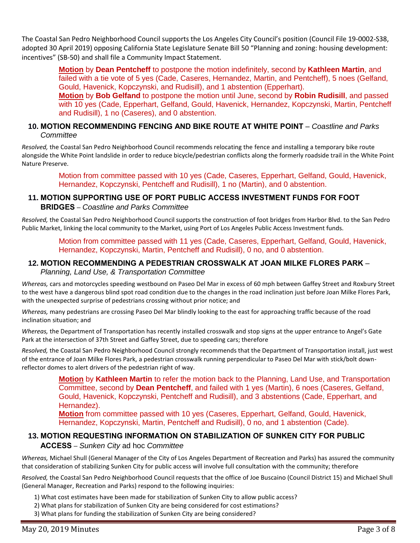The Coastal San Pedro Neighborhood Council supports the Los Angeles City Council's position (Council File 19-0002-S38, adopted 30 April 2019) opposing California State Legislature Senate Bill 50 "Planning and zoning: housing development: incentives" (SB-50) and shall file a Community Impact Statement.

> **Motion** by **Dean Pentcheff** to postpone the motion indefinitely, second by **Kathleen Martin**, and failed with a tie vote of 5 yes (Cade, Caseres, Hernandez, Martin, and Pentcheff), 5 noes (Gelfand, Gould, Havenick, Kopczynski, and Rudisill), and 1 abstention (Epperhart).

**Motion** by **Bob Gelfand** to postpone the motion until June, second by **Robin Rudisill**, and passed with 10 yes (Cade, Epperhart, Gelfand, Gould, Havenick, Hernandez, Kopczynski, Martin, Pentcheff and Rudisill), 1 no (Caseres), and 0 abstention.

### **10. MOTION RECOMMENDING FENCING AND BIKE ROUTE AT WHITE POINT** – *Coastline and Parks Committee*

*Resolved,* the Coastal San Pedro Neighborhood Council recommends relocating the fence and installing a temporary bike route alongside the White Point landslide in order to reduce bicycle/pedestrian conflicts along the formerly roadside trail in the White Point Nature Preserve.

Motion from committee passed with 10 yes (Cade, Caseres, Epperhart, Gelfand, Gould, Havenick, Hernandez, Kopczynski, Pentcheff and Rudisill), 1 no (Martin), and 0 abstention.

# **11. MOTION SUPPORTING USE OF PORT PUBLIC ACCESS INVESTMENT FUNDS FOR FOOT BRIDGES** – *Coastline and Parks Committee*

*Resolved,* the Coastal San Pedro Neighborhood Council supports the construction of foot bridges from Harbor Blvd. to the San Pedro Public Market, linking the local community to the Market, using Port of Los Angeles Public Access Investment funds.

Motion from committee passed with 11 yes (Cade, Caseres, Epperhart, Gelfand, Gould, Havenick, Hernandez, Kopczynski, Martin, Pentcheff and Rudisill), 0 no, and 0 abstention.

# **12. MOTION RECOMMENDING A PEDESTRIAN CROSSWALK AT JOAN MILKE FLORES PARK** –

*Planning, Land Use, & Transportation Committee*

*Whereas,* cars and motorcycles speeding westbound on Paseo Del Mar in excess of 60 mph between Gaffey Street and Roxbury Street to the west have a dangerous blind spot road condition due to the changes in the road inclination just before Joan Milke Flores Park, with the unexpected surprise of pedestrians crossing without prior notice; and

*Whereas,* many pedestrians are crossing Paseo Del Mar blindly looking to the east for approaching traffic because of the road inclination situation; and

*Whereas,* the Department of Transportation has recently installed crosswalk and stop signs at the upper entrance to Angel's Gate Park at the intersection of 37th Street and Gaffey Street, due to speeding cars; therefore

*Resolved,* the Coastal San Pedro Neighborhood Council strongly recommends that the Department of Transportation install, just west of the entrance of Joan Milke Flores Park, a pedestrian crosswalk running perpendicular to Paseo Del Mar with stick/bolt downreflector domes to alert drivers of the pedestrian right of way.

**Motion** by **Kathleen Martin** to refer the motion back to the Planning, Land Use, and Transportation Committee, second by **Dean Pentcheff**, and failed with 1 yes (Martin), 6 noes (Caseres, Gelfand, Gould, Havenick, Kopczynski, Pentcheff and Rudisill), and 3 abstentions (Cade, Epperhart, and Hernandez).

**Motion** from committee passed with 10 yes (Caseres, Epperhart, Gelfand, Gould, Havenick, Hernandez, Kopczynski, Martin, Pentcheff and Rudisill), 0 no, and 1 abstention (Cade).

# **13. MOTION REQUESTING INFORMATION ON STABILIZATION OF SUNKEN CITY FOR PUBLIC**

#### **ACCESS** – *Sunken City* ad hoc *Committee*

*Whereas,* Michael Shull (General Manager of the City of Los Angeles Department of Recreation and Parks) has assured the community that consideration of stabilizing Sunken City for public access will involve full consultation with the community; therefore

*Resolved,* the Coastal San Pedro Neighborhood Council requests that the office of Joe Buscaino (Council District 15) and Michael Shull (General Manager, Recreation and Parks) respond to the following inquiries:

- 1) What cost estimates have been made for stabilization of Sunken City to allow public access?
- 2) What plans for stabilization of Sunken City are being considered for cost estimations?
- 3) What plans for funding the stabilization of Sunken City are being considered?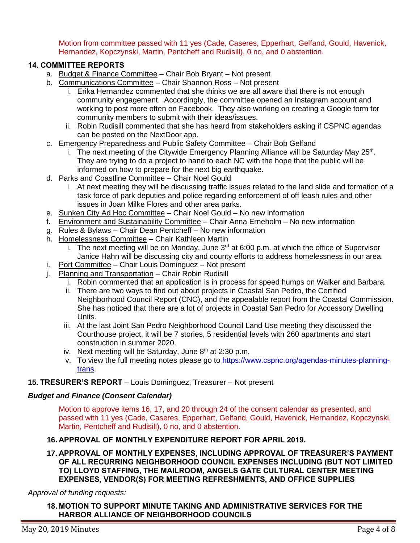Motion from committee passed with 11 yes (Cade, Caseres, Epperhart, Gelfand, Gould, Havenick, Hernandez, Kopczynski, Martin, Pentcheff and Rudisill), 0 no, and 0 abstention.

#### **14. COMMITTEE REPORTS**

- a. Budget & Finance Committee Chair Bob Bryant Not present
- b. Communications Committee Chair Shannon Ross Not present
	- i. Erika Hernandez commented that she thinks we are all aware that there is not enough community engagement. Accordingly, the committee opened an Instagram account and working to post more often on Facebook. They also working on creating a Google form for community members to submit with their ideas/issues.
	- ii. Robin Rudisill commented that she has heard from stakeholders asking if CSPNC agendas can be posted on the NextDoor app.
- c. Emergency Preparedness and Public Safety Committee Chair Bob Gelfand
	- i. The next meeting of the Citywide Emergency Planning Alliance will be Saturday May  $25<sup>th</sup>$ . They are trying to do a project to hand to each NC with the hope that the public will be informed on how to prepare for the next big earthquake.
- d. Parks and Coastline Committee Chair Noel Gould
	- i. At next meeting they will be discussing traffic issues related to the land slide and formation of a task force of park deputies and police regarding enforcement of off leash rules and other issues in Joan Milke Flores and other area parks.
- e. Sunken City Ad Hoc Committee Chair Noel Gould No new information
- f. Environment and Sustainability Committee Chair Anna Erneholm No new information
- g. Rules & Bylaws Chair Dean Pentcheff No new information
- h. Homelessness Committee Chair Kathleen Martin
	- i. The next meeting will be on Monday, June  $3<sup>rd</sup>$  at 6:00 p.m. at which the office of Supervisor Janice Hahn will be discussing city and county efforts to address homelessness in our area.
- i. Port Committee Chair Louis Dominguez Not present
- j. Planning and Transportation Chair Robin Rudisill
	- i. Robin commented that an application is in process for speed humps on Walker and Barbara.
	- ii. There are two ways to find out about projects in Coastal San Pedro, the Certified Neighborhood Council Report (CNC), and the appealable report from the Coastal Commission. She has noticed that there are a lot of projects in Coastal San Pedro for Accessory Dwelling Units.
	- iii. At the last Joint San Pedro Neighborhood Council Land Use meeting they discussed the Courthouse project, it will be 7 stories, 5 residential levels with 260 apartments and start construction in summer 2020.
	- iv. Next meeting will be Saturday, June 8<sup>th</sup> at 2:30 p.m.
	- v. To view the full meeting notes please go to [https://www.cspnc.org/agendas-minutes-planning](https://www.cspnc.org/agendas-minutes-planning-trans)[trans.](https://www.cspnc.org/agendas-minutes-planning-trans)

#### **15. TRESURER'S REPORT** – Louis Dominguez, Treasurer – Not present

#### *Budget and Finance (Consent Calendar)*

Motion to approve items 16, 17, and 20 through 24 of the consent calendar as presented, and passed with 11 yes (Cade, Caseres, Epperhart, Gelfand, Gould, Havenick, Hernandez, Kopczynski, Martin, Pentcheff and Rudisill), 0 no, and 0 abstention.

#### **16. APPROVAL OF MONTHLY EXPENDITURE REPORT FOR APRIL 2019.**

**17. APPROVAL OF MONTHLY EXPENSES, INCLUDING APPROVAL OF TREASURER'S PAYMENT OF ALL RECURRING NEIGHBORHOOD COUNCIL EXPENSES INCLUDING (BUT NOT LIMITED TO) LLOYD STAFFING, THE MAILROOM, ANGELS GATE CULTURAL CENTER MEETING EXPENSES, VENDOR(S) FOR MEETING REFRESHMENTS, AND OFFICE SUPPLIES**

*Approval of funding requests:*

**18. MOTION TO SUPPORT MINUTE TAKING AND ADMINISTRATIVE SERVICES FOR THE HARBOR ALLIANCE OF NEIGHBORHOOD COUNCILS**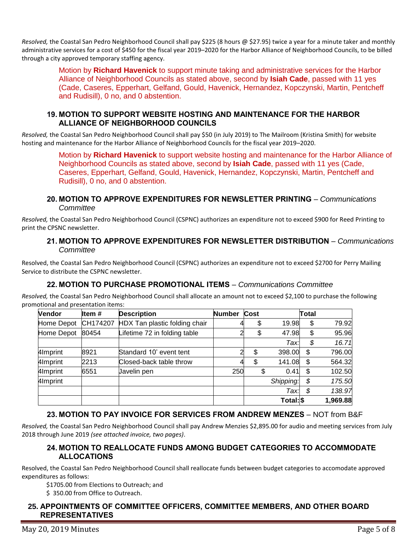*Resolved,* the Coastal San Pedro Neighborhood Council shall pay \$225 (8 hours @ \$27.95) twice a year for a minute taker and monthly administrative services for a cost of \$450 for the fiscal year 2019–2020 for the Harbor Alliance of Neighborhood Councils, to be billed through a city approved temporary staffing agency.

Motion by **Richard Havenick** to support minute taking and administrative services for the Harbor Alliance of Neighborhood Councils as stated above, second by **Isiah Cade**, passed with 11 yes (Cade, Caseres, Epperhart, Gelfand, Gould, Havenick, Hernandez, Kopczynski, Martin, Pentcheff and Rudisill), 0 no, and 0 abstention.

#### **19. MOTION TO SUPPORT WEBSITE HOSTING AND MAINTENANCE FOR THE HARBOR ALLIANCE OF NEIGHBORHOOD COUNCILS**

*Resolved,* the Coastal San Pedro Neighborhood Council shall pay \$50 (in July 2019) to The Mailroom (Kristina Smith) for website hosting and maintenance for the Harbor Alliance of Neighborhood Councils for the fiscal year 2019–2020.

> Motion by **Richard Havenick** to support website hosting and maintenance for the Harbor Alliance of Neighborhood Councils as stated above, second by **Isiah Cade**, passed with 11 yes (Cade, Caseres, Epperhart, Gelfand, Gould, Havenick, Hernandez, Kopczynski, Martin, Pentcheff and Rudisill), 0 no, and 0 abstention.

#### **20. MOTION TO APPROVE EXPENDITURES FOR NEWSLETTER PRINTING** – *Communications Committee*

*Resolved,* the Coastal San Pedro Neighborhood Council (CSPNC) authorizes an expenditure not to exceed \$900 for Reed Printing to print the CPSNC newsletter.

#### **21. MOTION TO APPROVE EXPENDITURES FOR NEWSLETTER DISTRIBUTION** – *Communications Committee*

Resolved, the Coastal San Pedro Neighborhood Council (CSPNC) authorizes an expenditure not to exceed \$2700 for Perry Mailing Service to distribute the CSPNC newsletter.

# **22. MOTION TO PURCHASE PROMOTIONAL ITEMS** – *Communications Committee*

*Resolved,* the Coastal San Pedro Neighborhood Council shall allocate an amount not to exceed \$2,100 to purchase the following promotional and presentation items:

| Vendor     | ltem #   | <b>Description</b>            | <b>Number</b> | Cost |           | <b>Total</b> |          |
|------------|----------|-------------------------------|---------------|------|-----------|--------------|----------|
| Home Depot | CH174207 | HDX Tan plastic folding chair |               | \$   | 19.98     | \$           | 79.92    |
| Home Depot | 80454    | Lifetime 72 in folding table  |               | \$   | 47.98     | \$           | 95.96    |
|            |          |                               |               |      | Tax:      | \$           | 16.71    |
| 4Imprint   | 8921     | Standard 10' event tent       |               | \$   | 398.00    | \$           | 796.00   |
| 4Imprint   | 2213     | Closed-back table throw       |               | \$   | 141.08    | \$           | 564.32   |
| 4Imprint   | 6551     | Javelin pen                   | 250           | \$   | 0.41      | \$           | 102.50   |
| 4Imprint   |          |                               |               |      | Shipping: | \$           | 175.50   |
|            |          |                               |               |      | Tax:      | \$           | 138.97   |
|            |          |                               |               |      | Total: \$ |              | 1,969.88 |

# **23. MOTION TO PAY INVOICE FOR SERVICES FROM ANDREW MENZES** – NOT from B&F

*Resolved,* the Coastal San Pedro Neighborhood Council shall pay Andrew Menzies \$2,895.00 for audio and meeting services from July 2018 through June 2019 *(see attached invoice, two pages)*.

#### **24. MOTION TO REALLOCATE FUNDS AMONG BUDGET CATEGORIES TO ACCOMMODATE ALLOCATIONS**

Resolved, the Coastal San Pedro Neighborhood Council shall reallocate funds between budget categories to accomodate approved expenditures as follows:

\$1705.00 from Elections to Outreach; and

\$ 350.00 from Office to Outreach.

#### **25. APPOINTMENTS OF COMMITTEE OFFICERS, COMMITTEE MEMBERS, AND OTHER BOARD REPRESENTATIVES**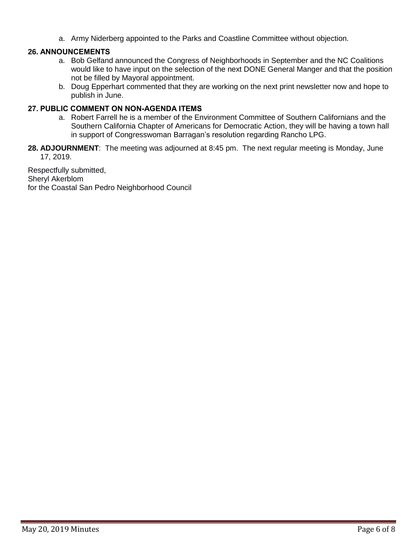a. Army Niderberg appointed to the Parks and Coastline Committee without objection.

## **26. ANNOUNCEMENTS**

- a. Bob Gelfand announced the Congress of Neighborhoods in September and the NC Coalitions would like to have input on the selection of the next DONE General Manger and that the position not be filled by Mayoral appointment.
- b. Doug Epperhart commented that they are working on the next print newsletter now and hope to publish in June.

#### **27. PUBLIC COMMENT ON NON-AGENDA ITEMS**

- a. Robert Farrell he is a member of the Environment Committee of Southern Californians and the Southern California Chapter of Americans for Democratic Action, they will be having a town hall in support of Congresswoman Barragan's resolution regarding Rancho LPG.
- **28. ADJOURNMENT**:The meeting was adjourned at 8:45 pm. The next regular meeting is Monday, June 17, 2019.

Respectfully submitted, Sheryl Akerblom for the Coastal San Pedro Neighborhood Council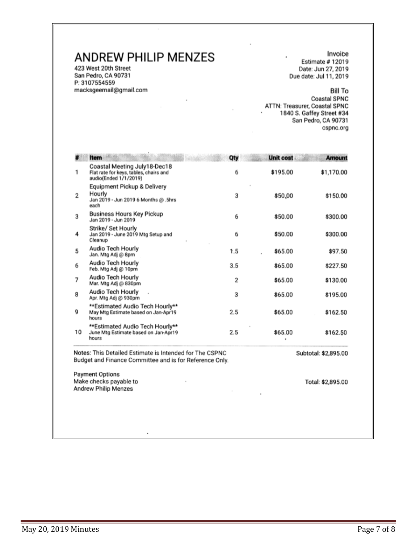# **ANDREW PHILIP MENZES**

423 West 20th Street San Pedro, CA 90731 P: 3107554559 macksgeemail@gmail.com

Invoice Estimate #12019 Date: Jun 27, 2019 Due date: Jul 11, 2019

**Bill To Coastal SPNC** ATTN: Treasurer, Coastal SPNC 1840 S. Gaffey Street #34 San Pedro, CA 90731 cspnc.org

|    | Item                                                                                            | Qty | <b>Unit cost</b> | <b>Amount</b> |
|----|-------------------------------------------------------------------------------------------------|-----|------------------|---------------|
| 1  | Coastal Meeting July18-Dec18<br>Flat rate for keys, tables, chairs and<br>audio(Ended 1/1/2019) | 6   | \$195.00         | \$1,170.00    |
| 2  | Equipment Pickup & Delivery<br>Hourly<br>Jan 2019 - Jun 2019 6 Months @ .5hrs<br>each           | 3   | \$50,00          | \$150.00      |
| 3  | <b>Business Hours Key Pickup</b><br>Jan 2019 - Jun 2019                                         | 6   | \$50.00          | \$300.00      |
| 4  | Strike/ Set Hourly<br>Jan 2019 - June 2019 Mtg Setup and<br>Cleanup                             | 6   | \$50.00          | \$300.00      |
| 5  | Audio Tech Hourly<br>Jan. Mtg Adj @ 8pm                                                         | 1.5 | \$65.00          | \$97.50       |
| 6  | Audio Tech Hourly<br>Feb. Mtg Adj @ 10pm                                                        | 3.5 | \$65.00          | \$227.50      |
| 7  | Audio Tech Hourly<br>Mar. Mtg Adj @ 830pm                                                       | 2   | \$65.00          | \$130.00      |
| 8  | Audio Tech Hourly<br>Apr. Mtg Adj @ 930pm                                                       | 3   | \$65.00          | \$195.00      |
| 9  | **Estimated Audio Tech Hourly**<br>May Mtg Estimate based on Jan-Apr19<br>hours                 | 2.5 | \$65.00          | \$162.50      |
| 10 | **Estimated Audio Tech Hourly**<br>June Mtg Estimate based on Jan-Apr19<br>hours                | 2.5 | \$65.00          | \$162.50      |

**Payment Options** Make checks payable to Andrew Philip Menzes

Total: \$2,895.00